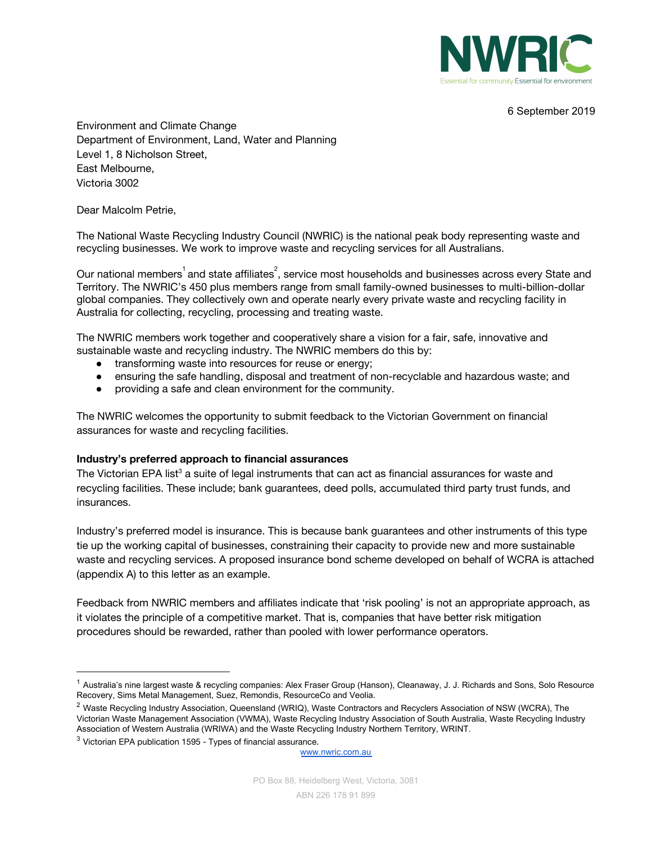

6 September 2019

Environment and Climate Change Department of Environment, Land, Water and Planning Level 1, 8 Nicholson Street, East Melbourne, Victoria 3002

Dear Malcolm Petrie,

The National Waste Recycling Industry Council (NWRIC) is the national peak body representing waste and recycling businesses. We work to improve waste and recycling services for all Australians.

Our national members $^{\rm 1}$ and state affiliates $^{\rm 2}$ , service most households and businesses across every State and Territory. The NWRIC's 450 plus members range from small family-owned businesses to multi-billion-dollar global companies. They collectively own and operate nearly every private waste and recycling facility in Australia for collecting, recycling, processing and treating waste.

The NWRIC members work together and cooperatively share a vision for a fair, safe, innovative and sustainable waste and recycling industry. The NWRIC members do this by:

- **●** transforming waste into resources for reuse or energy;
- **●** ensuring the safe handling, disposal and treatment of non-recyclable and hazardous waste; and
- **●** providing a safe and clean environment for the community.

The NWRIC welcomes the opportunity to submit feedback to the Victorian Government on financial assurances for waste and recycling facilities.

### **Industry's preferred approach to financial assurances**

The Victorian EPA list<sup>3</sup> a suite of legal instruments that can act as financial assurances for waste and recycling facilities. These include; bank guarantees, deed polls, accumulated third party trust funds, and insurances.

Industry's preferred model is insurance. This is because bank guarantees and other instruments of this type tie up the working capital of businesses, constraining their capacity to provide new and more sustainable waste and recycling services. A proposed insurance bond scheme developed on behalf of WCRA is attached (appendix A) to this letter as an example.

Feedback from NWRIC members and affiliates indicate that 'risk pooling' is not an appropriate approach, as it violates the principle of a competitive market. That is, companies that have better risk mitigation procedures should be rewarded, rather than pooled with lower performance operators.

<sup>&</sup>lt;sup>1</sup> Australia's nine largest waste & recycling companies: Alex Fraser Group (Hanson), Cleanaway, J. J. Richards and Sons, Solo Resource Recovery, Sims Metal Management, Suez, Remondis, ResourceCo and Veolia.

<sup>&</sup>lt;sup>2</sup> Waste Recycling Industry Association, Queensland (WRIQ), Waste Contractors and Recyclers Association of NSW (WCRA), The Victorian Waste Management Association (VWMA), Waste Recycling Industry Association of South Australia, Waste Recycling Industry Association of Western Australia (WRIWA) and the Waste Recycling Industry Northern Territory, WRINT.

 $3$  Victorian EPA publication 1595 - Types of financial assurance.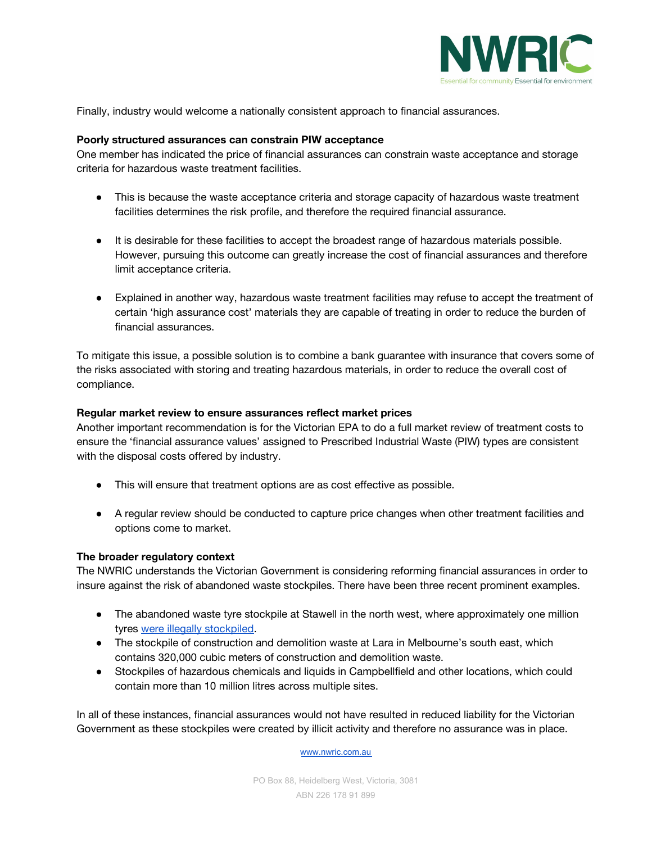

Finally, industry would welcome a nationally consistent approach to financial assurances.

### **Poorly structured assurances can constrain PIW acceptance**

One member has indicated the price of financial assurances can constrain waste acceptance and storage criteria for hazardous waste treatment facilities.

- This is because the waste acceptance criteria and storage capacity of hazardous waste treatment facilities determines the risk profile, and therefore the required financial assurance.
- It is desirable for these facilities to accept the broadest range of hazardous materials possible. However, pursuing this outcome can greatly increase the cost of financial assurances and therefore limit acceptance criteria.
- Explained in another way, hazardous waste treatment facilities may refuse to accept the treatment of certain 'high assurance cost' materials they are capable of treating in order to reduce the burden of financial assurances.

To mitigate this issue, a possible solution is to combine a bank guarantee with insurance that covers some of the risks associated with storing and treating hazardous materials, in order to reduce the overall cost of compliance.

#### **Regular market review to ensure assurances reflect market prices**

Another important recommendation is for the Victorian EPA to do a full market review of treatment costs to ensure the 'financial assurance values' assigned to Prescribed Industrial Waste (PIW) types are consistent with the disposal costs offered by industry.

- This will ensure that treatment options are as cost effective as possible.
- A regular review should be conducted to capture price changes when other treatment facilities and options come to market.

#### **The broader regulatory context**

The NWRIC understands the Victorian Government is considering reforming financial assurances in order to insure against the risk of abandoned waste stockpiles. There have been three recent prominent examples.

- The abandoned waste tyre stockpile at Stawell in the north west, where approximately one million tyres were illegally [stockpiled](https://www.epa.vic.gov.au/our-work/current-issues/odour-and-air-quality/stawell-tyre-stockpile-cleanup).
- The stockpile of construction and demolition waste at Lara in Melbourne's south east, which contains 320,000 cubic meters of construction and demolition waste.
- Stockpiles of hazardous chemicals and liquids in Campbellfield and other locations, which could contain more than 10 million litres across multiple sites.

In all of these instances, financial assurances would not have resulted in reduced liability for the Victorian Government as these stockpiles were created by illicit activity and therefore no assurance was in place.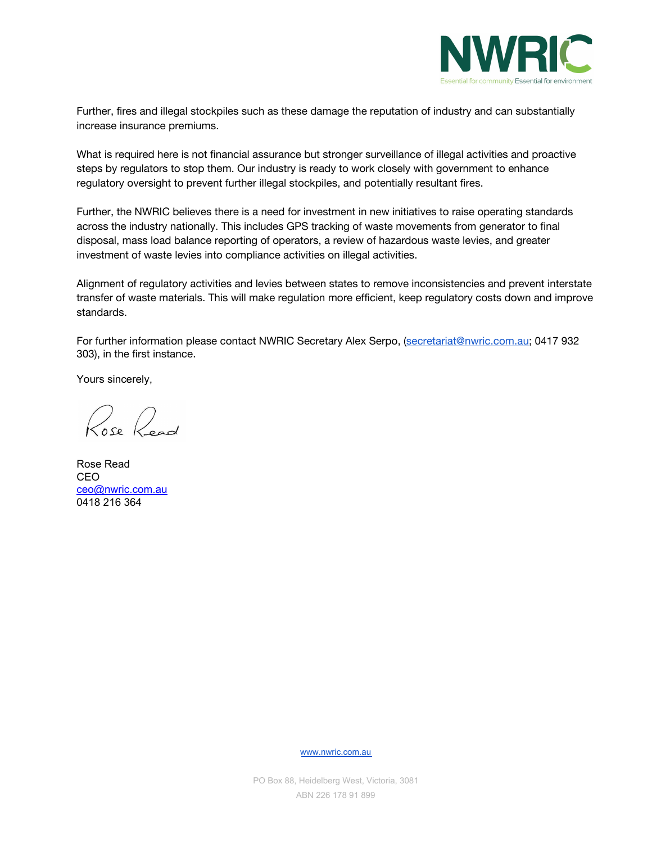

Further, fires and illegal stockpiles such as these damage the reputation of industry and can substantially increase insurance premiums.

What is required here is not financial assurance but stronger surveillance of illegal activities and proactive steps by regulators to stop them. Our industry is ready to work closely with government to enhance regulatory oversight to prevent further illegal stockpiles, and potentially resultant fires.

Further, the NWRIC believes there is a need for investment in new initiatives to raise operating standards across the industry nationally. This includes GPS tracking of waste movements from generator to final disposal, mass load balance reporting of operators, a review of hazardous waste levies, and greater investment of waste levies into compliance activities on illegal activities.

Alignment of regulatory activities and levies between states to remove inconsistencies and prevent interstate transfer of waste materials. This will make regulation more efficient, keep regulatory costs down and improve standards.

For further information please contact NWRIC Secretary Alex Serpo, ([secretariat@nwric.com.au;](mailto:secretariat@nwric.com.au) 0417 932 303), in the first instance.

Yours sincerely,

Rose Road

Rose Read CEO [ceo@nwric.com.au](mailto:ceo@nwric.com.au) 0418 216 364

[www.nwric.com.au](http://www.nwric.com.au/)

PO Box 88, Heidelberg West, Victoria, 3081 ABN 226 178 91 899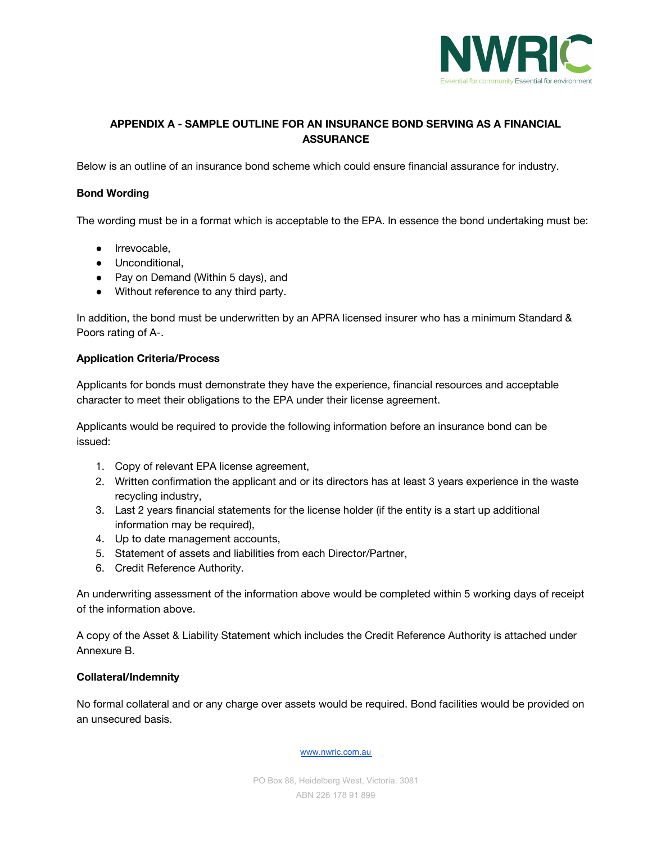

# **APPENDIX A - SAMPLE OUTLINE FOR AN INSURANCE BOND SERVING AS A FINANCIAL ASSURANCE**

Below is an outline of an insurance bond scheme which could ensure financial assurance for industry.

## **Bond Wording**

The wording must be in a format which is acceptable to the EPA. In essence the bond undertaking must be:

- Irrevocable,
- Unconditional,
- Pay on Demand (Within 5 days), and
- Without reference to any third party.

In addition, the bond must be underwritten by an APRA licensed insurer who has a minimum Standard & Poors rating of A-.

### **Application Criteria/Process**

Applicants for bonds must demonstrate they have the experience, financial resources and acceptable character to meet their obligations to the EPA under their license agreement.

Applicants would be required to provide the following information before an insurance bond can be issued:

- 1. Copy of relevant EPA license agreement,
- 2. Written confirmation the applicant and or its directors has at least 3 years experience in the waste recycling industry,
- 3. Last 2 years financial statements for the license holder (if the entity is a start up additional information may be required),
- 4. Up to date management accounts,
- 5. Statement of assets and liabilities from each Director/Partner,
- 6. Credit Reference Authority.

An underwriting assessment of the information above would be completed within 5 working days of receipt of the information above.

A copy of the Asset & Liability Statement which includes the Credit Reference Authority is attached under Annexure B.

### **Collateral/Indemnity**

No formal collateral and or any charge over assets would be required. Bond facilities would be provided on an unsecured basis.